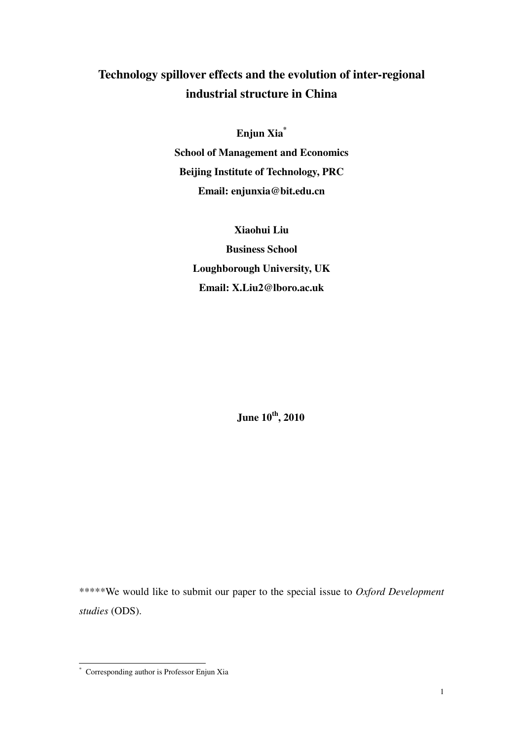# **Technology spillover effects and the evolution of inter-regional industrial structure in China**

**Enjun Xia\* School of Management and Economics Beijing Institute of Technology, PRC Email: enjunxia@bit.edu.cn** 

> **Xiaohui Liu Business School Loughborough University, UK Email: X.Liu2@lboro.ac.uk**

> > **June 10th, 2010**

\*\*\*\*\*We would like to submit our paper to the special issue to *Oxford Development studies* (ODS).

 \* Corresponding author is Professor Enjun Xia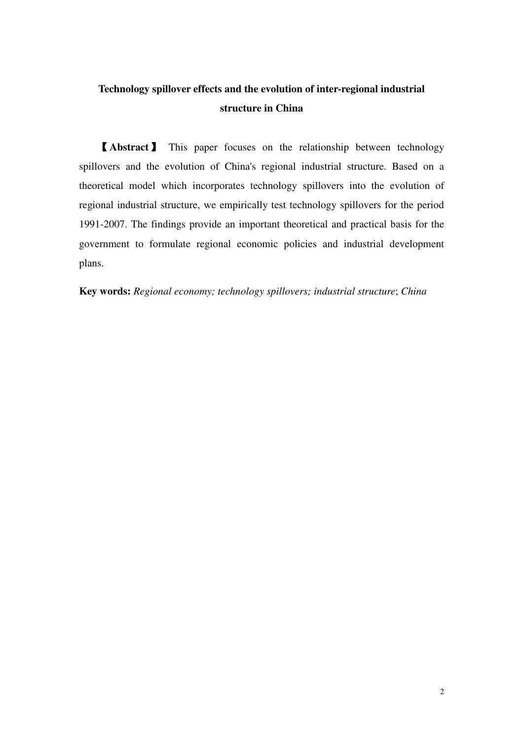## **Technology spillover effects and the evolution of inter-regional industrial structure in China**

【**Abstract**】 This paper focuses on the relationship between technology spillovers and the evolution of China's regional industrial structure. Based on a theoretical model which incorporates technology spillovers into the evolution of regional industrial structure, we empirically test technology spillovers for the period 1991-2007. The findings provide an important theoretical and practical basis for the government to formulate regional economic policies and industrial development plans.

## **Key words:** *Regional economy; technology spillovers; industrial structure*; *China*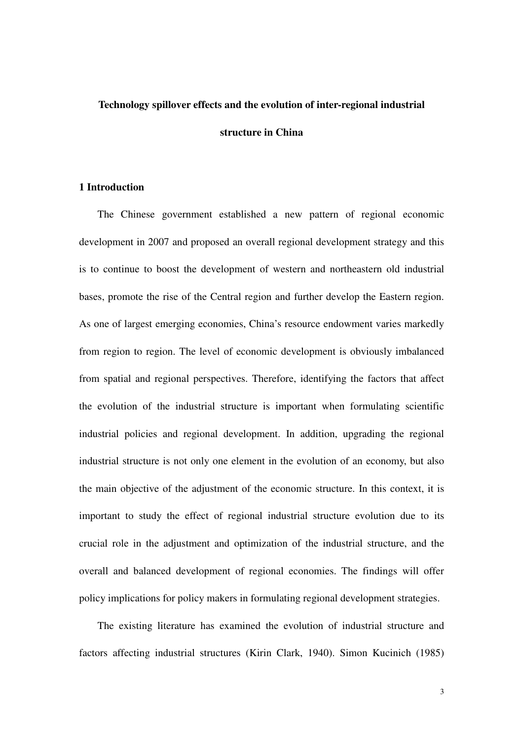## **Technology spillover effects and the evolution of inter-regional industrial**

## **structure in China**

## **1 Introduction**

The Chinese government established a new pattern of regional economic development in 2007 and proposed an overall regional development strategy and this is to continue to boost the development of western and northeastern old industrial bases, promote the rise of the Central region and further develop the Eastern region. As one of largest emerging economies, China's resource endowment varies markedly from region to region. The level of economic development is obviously imbalanced from spatial and regional perspectives. Therefore, identifying the factors that affect the evolution of the industrial structure is important when formulating scientific industrial policies and regional development. In addition, upgrading the regional industrial structure is not only one element in the evolution of an economy, but also the main objective of the adjustment of the economic structure. In this context, it is important to study the effect of regional industrial structure evolution due to its crucial role in the adjustment and optimization of the industrial structure, and the overall and balanced development of regional economies. The findings will offer policy implications for policy makers in formulating regional development strategies.

The existing literature has examined the evolution of industrial structure and factors affecting industrial structures (Kirin Clark, 1940). Simon Kucinich (1985)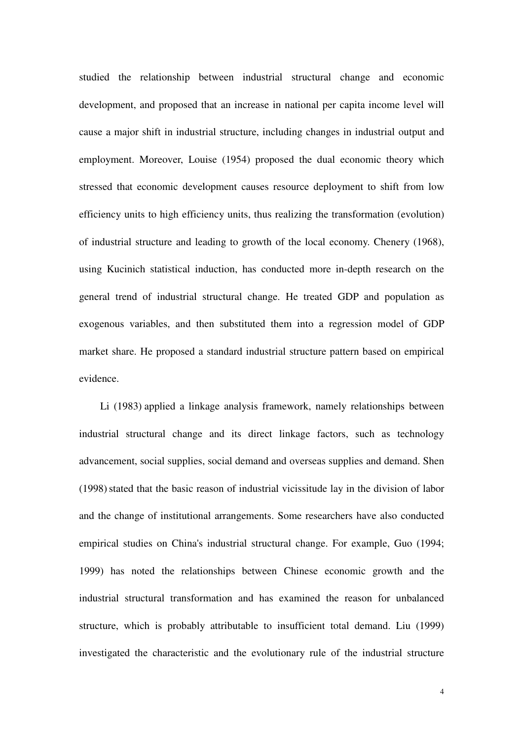studied the relationship between industrial structural change and economic development, and proposed that an increase in national per capita income level will cause a major shift in industrial structure, including changes in industrial output and employment. Moreover, Louise (1954) proposed the dual economic theory which stressed that economic development causes resource deployment to shift from low efficiency units to high efficiency units, thus realizing the transformation (evolution) of industrial structure and leading to growth of the local economy. Chenery (1968), using Kucinich statistical induction, has conducted more in-depth research on the general trend of industrial structural change. He treated GDP and population as exogenous variables, and then substituted them into a regression model of GDP market share. He proposed a standard industrial structure pattern based on empirical evidence.

Li (1983) applied a linkage analysis framework, namely relationships between industrial structural change and its direct linkage factors, such as technology advancement, social supplies, social demand and overseas supplies and demand. Shen (1998) stated that the basic reason of industrial vicissitude lay in the division of labor and the change of institutional arrangements. Some researchers have also conducted empirical studies on China's industrial structural change. For example, Guo (1994; 1999) has noted the relationships between Chinese economic growth and the industrial structural transformation and has examined the reason for unbalanced structure, which is probably attributable to insufficient total demand. Liu (1999) investigated the characteristic and the evolutionary rule of the industrial structure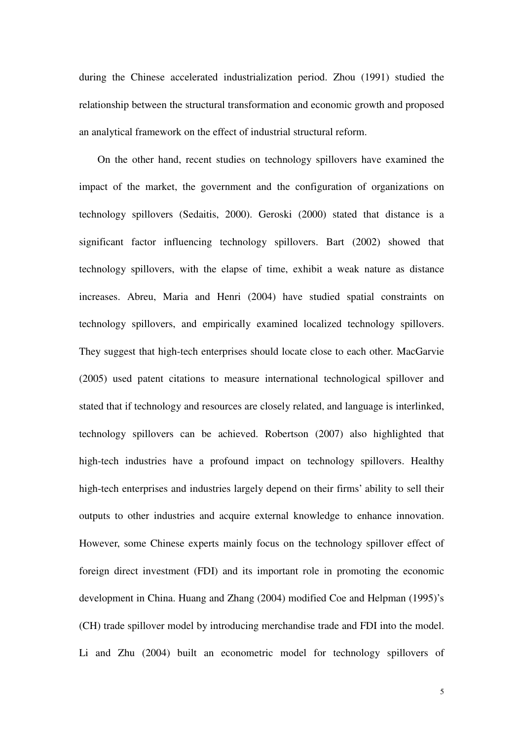during the Chinese accelerated industrialization period. Zhou (1991) studied the relationship between the structural transformation and economic growth and proposed an analytical framework on the effect of industrial structural reform.

On the other hand, recent studies on technology spillovers have examined the impact of the market, the government and the configuration of organizations on technology spillovers (Sedaitis, 2000). Geroski (2000) stated that distance is a significant factor influencing technology spillovers. Bart (2002) showed that technology spillovers, with the elapse of time, exhibit a weak nature as distance increases. Abreu, Maria and Henri (2004) have studied spatial constraints on technology spillovers, and empirically examined localized technology spillovers. They suggest that high-tech enterprises should locate close to each other. MacGarvie (2005) used patent citations to measure international technological spillover and stated that if technology and resources are closely related, and language is interlinked, technology spillovers can be achieved. Robertson (2007) also highlighted that high-tech industries have a profound impact on technology spillovers. Healthy high-tech enterprises and industries largely depend on their firms' ability to sell their outputs to other industries and acquire external knowledge to enhance innovation. However, some Chinese experts mainly focus on the technology spillover effect of foreign direct investment (FDI) and its important role in promoting the economic development in China. Huang and Zhang (2004) modified Coe and Helpman (1995)'s (CH) trade spillover model by introducing merchandise trade and FDI into the model. Li and Zhu (2004) built an econometric model for technology spillovers of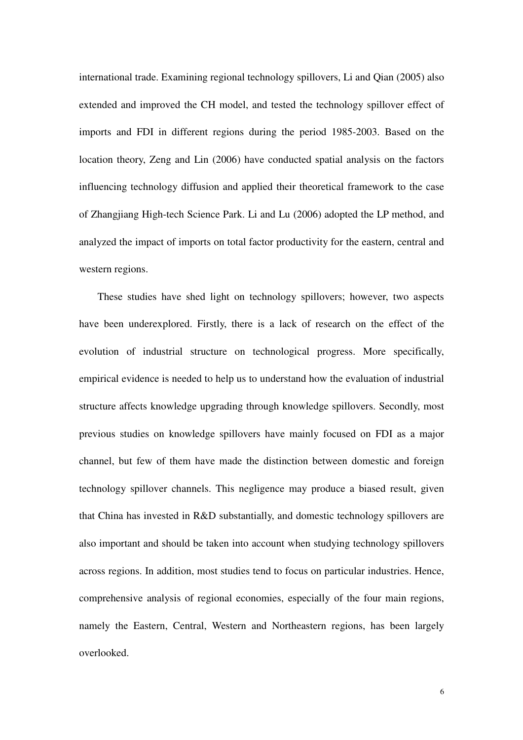international trade. Examining regional technology spillovers, Li and Qian (2005) also extended and improved the CH model, and tested the technology spillover effect of imports and FDI in different regions during the period 1985-2003. Based on the location theory, Zeng and Lin (2006) have conducted spatial analysis on the factors influencing technology diffusion and applied their theoretical framework to the case of Zhangjiang High-tech Science Park. Li and Lu (2006) adopted the LP method, and analyzed the impact of imports on total factor productivity for the eastern, central and western regions.

These studies have shed light on technology spillovers; however, two aspects have been underexplored. Firstly, there is a lack of research on the effect of the evolution of industrial structure on technological progress. More specifically, empirical evidence is needed to help us to understand how the evaluation of industrial structure affects knowledge upgrading through knowledge spillovers. Secondly, most previous studies on knowledge spillovers have mainly focused on FDI as a major channel, but few of them have made the distinction between domestic and foreign technology spillover channels. This negligence may produce a biased result, given that China has invested in R&D substantially, and domestic technology spillovers are also important and should be taken into account when studying technology spillovers across regions. In addition, most studies tend to focus on particular industries. Hence, comprehensive analysis of regional economies, especially of the four main regions, namely the Eastern, Central, Western and Northeastern regions, has been largely overlooked.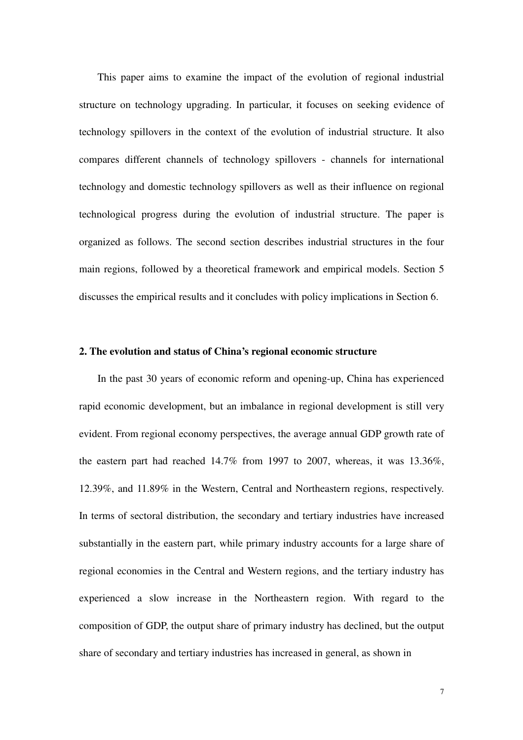This paper aims to examine the impact of the evolution of regional industrial structure on technology upgrading. In particular, it focuses on seeking evidence of technology spillovers in the context of the evolution of industrial structure. It also compares different channels of technology spillovers - channels for international technology and domestic technology spillovers as well as their influence on regional technological progress during the evolution of industrial structure. The paper is organized as follows. The second section describes industrial structures in the four main regions, followed by a theoretical framework and empirical models. Section 5 discusses the empirical results and it concludes with policy implications in Section 6.

## **2. The evolution and status of China's regional economic structure**

In the past 30 years of economic reform and opening-up, China has experienced rapid economic development, but an imbalance in regional development is still very evident. From regional economy perspectives, the average annual GDP growth rate of the eastern part had reached 14.7% from 1997 to 2007, whereas, it was 13.36%, 12.39%, and 11.89% in the Western, Central and Northeastern regions, respectively. In terms of sectoral distribution, the secondary and tertiary industries have increased substantially in the eastern part, while primary industry accounts for a large share of regional economies in the Central and Western regions, and the tertiary industry has experienced a slow increase in the Northeastern region. With regard to the composition of GDP, the output share of primary industry has declined, but the output share of secondary and tertiary industries has increased in general, as shown in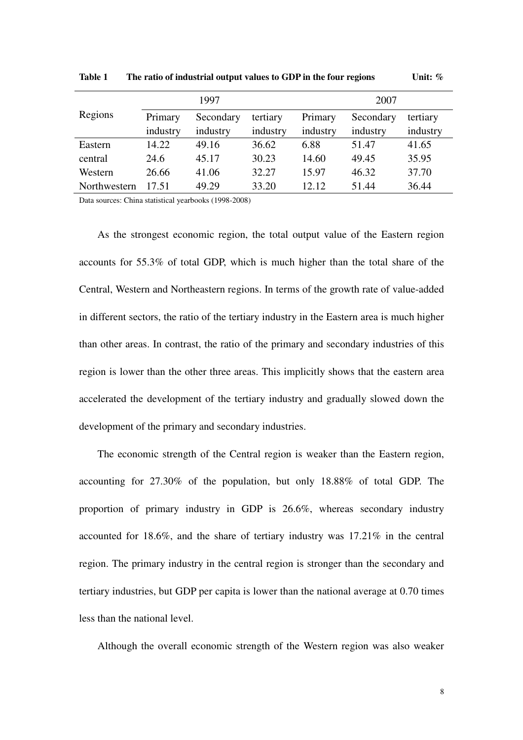|              | 1997     |           |          | 2007     |           |          |
|--------------|----------|-----------|----------|----------|-----------|----------|
| Regions      | Primary  | Secondary | tertiary | Primary  | Secondary | tertiary |
|              | industry | industry  | industry | industry | industry  | industry |
| Eastern      | 14.22    | 49.16     | 36.62    | 6.88     | 51.47     | 41.65    |
| central      | 24.6     | 45.17     | 30.23    | 14.60    | 49.45     | 35.95    |
| Western      | 26.66    | 41.06     | 32.27    | 15.97    | 46.32     | 37.70    |
| Northwestern | 17.51    | 49.29     | 33.20    | 12.12    | 51.44     | 36.44    |

Table 1 The ratio of industrial output values to GDP in the four regions Unit: %

Data sources: China statistical yearbooks (1998-2008)

As the strongest economic region, the total output value of the Eastern region accounts for 55.3% of total GDP, which is much higher than the total share of the Central, Western and Northeastern regions. In terms of the growth rate of value-added in different sectors, the ratio of the tertiary industry in the Eastern area is much higher than other areas. In contrast, the ratio of the primary and secondary industries of this region is lower than the other three areas. This implicitly shows that the eastern area accelerated the development of the tertiary industry and gradually slowed down the development of the primary and secondary industries.

The economic strength of the Central region is weaker than the Eastern region, accounting for 27.30% of the population, but only 18.88% of total GDP. The proportion of primary industry in GDP is 26.6%, whereas secondary industry accounted for 18.6%, and the share of tertiary industry was 17.21% in the central region. The primary industry in the central region is stronger than the secondary and tertiary industries, but GDP per capita is lower than the national average at 0.70 times less than the national level.

Although the overall economic strength of the Western region was also weaker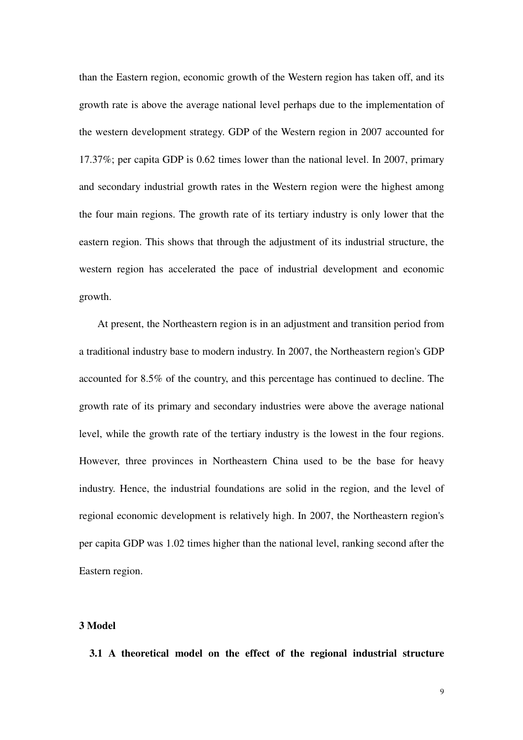than the Eastern region, economic growth of the Western region has taken off, and its growth rate is above the average national level perhaps due to the implementation of the western development strategy. GDP of the Western region in 2007 accounted for 17.37%; per capita GDP is 0.62 times lower than the national level. In 2007, primary and secondary industrial growth rates in the Western region were the highest among the four main regions. The growth rate of its tertiary industry is only lower that the eastern region. This shows that through the adjustment of its industrial structure, the western region has accelerated the pace of industrial development and economic growth.

At present, the Northeastern region is in an adjustment and transition period from a traditional industry base to modern industry. In 2007, the Northeastern region's GDP accounted for 8.5% of the country, and this percentage has continued to decline. The growth rate of its primary and secondary industries were above the average national level, while the growth rate of the tertiary industry is the lowest in the four regions. However, three provinces in Northeastern China used to be the base for heavy industry. Hence, the industrial foundations are solid in the region, and the level of regional economic development is relatively high. In 2007, the Northeastern region's per capita GDP was 1.02 times higher than the national level, ranking second after the Eastern region.

#### **3 Model**

**3.1 A theoretical model on the effect of the regional industrial structure**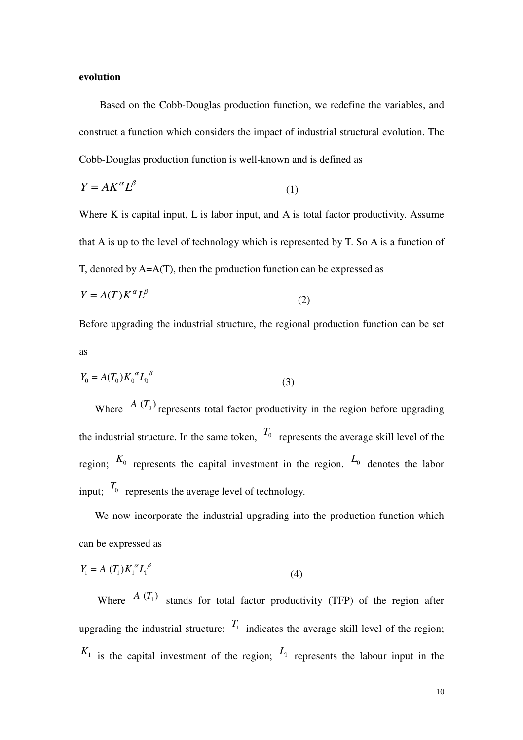## **evolution**

Based on the Cobb-Douglas production function, we redefine the variables, and construct a function which considers the impact of industrial structural evolution. The Cobb-Douglas production function is well-known and is defined as

$$
Y = AK^{\alpha}L^{\beta} \tag{1}
$$

Where K is capital input, L is labor input, and A is total factor productivity. Assume that A is up to the level of technology which is represented by T. So A is a function of T, denoted by A=A(T), then the production function can be expressed as

$$
Y = A(T)K^{\alpha}L^{\beta}
$$
 (2)

Before upgrading the industrial structure, the regional production function can be set as

$$
Y_0 = A(T_0)K_0^{\alpha}L_0^{\beta}
$$
 (3)

Where  $A(T_0)$  represents total factor productivity in the region before upgrading the industrial structure. In the same token,  $T_0$  represents the average skill level of the region;  $K_0$  represents the capital investment in the region.  $L_0$  denotes the labor input;  $T_0$  represents the average level of technology.

We now incorporate the industrial upgrading into the production function which can be expressed as

$$
Y_1 = A(T_1)K_1^{\alpha}L_1^{\beta}
$$
\n
$$
\tag{4}
$$

Where  $A(T_1)$  stands for total factor productivity (TFP) of the region after upgrading the industrial structure;  $T_1$  indicates the average skill level of the region;  $K_1$  is the capital investment of the region;  $L_1$  represents the labour input in the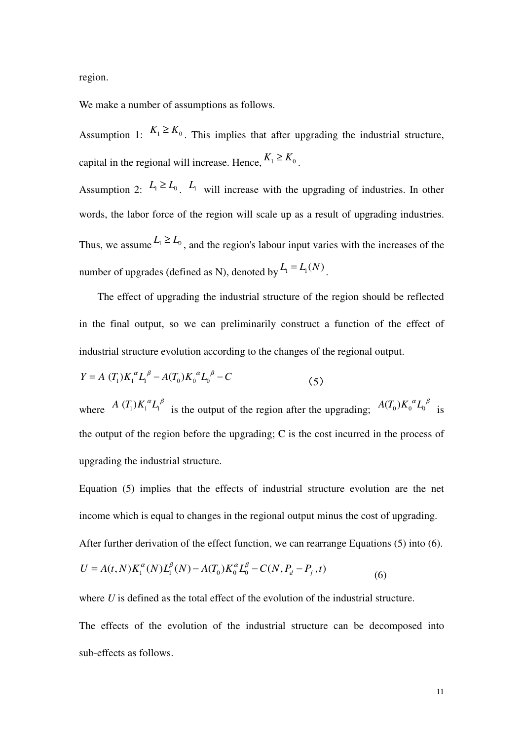region.

We make a number of assumptions as follows.

Assumption 1:  $K_1 \geq K_0$ . This implies that after upgrading the industrial structure, capital in the regional will increase. Hence,  $K_1 \geq K_0$ .

Assumption 2:  $L_1 \ge L_0$ .  $L_1$  will increase with the upgrading of industries. In other words, the labor force of the region will scale up as a result of upgrading industries. Thus, we assume  $L_1 \ge L_0$ , and the region's labour input varies with the increases of the number of upgrades (defined as N), denoted by  $L_1 = L_1(N)$ .

The effect of upgrading the industrial structure of the region should be reflected in the final output, so we can preliminarily construct a function of the effect of industrial structure evolution according to the changes of the regional output.

$$
Y = A (T_1) K_1^{\alpha} L_1^{\beta} - A(T_0) K_0^{\alpha} L_0^{\beta} - C
$$
 (5)

where  $A(T_1) K_1^{\alpha} L_1^{\beta}$  is the output of the region after the upgrading;  $A(T_0) K_0^{\alpha} L_0^{\beta}$  is the output of the region before the upgrading; C is the cost incurred in the process of upgrading the industrial structure.

Equation (5) implies that the effects of industrial structure evolution are the net income which is equal to changes in the regional output minus the cost of upgrading. After further derivation of the effect function, we can rearrange Equations (5) into (6).  $U = A(t, N) K_1^{\alpha}(N) L_1^{\beta}(N) - A(T_0) K_0^{\alpha} L_0^{\beta} - C(N, P_d - P_f, t)$  (6)

where *U* is defined as the total effect of the evolution of the industrial structure. The effects of the evolution of the industrial structure can be decomposed into sub-effects as follows.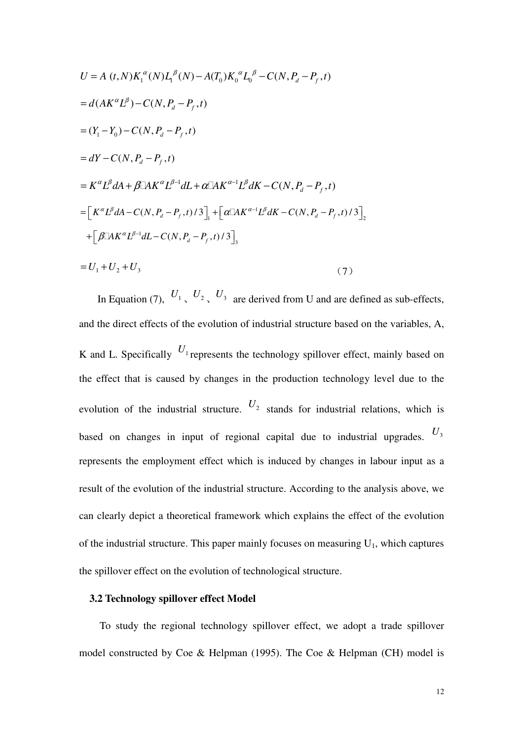$$
U = A(t, N)K_1^{\alpha}(N)L_1^{\beta}(N) - A(T_0)K_0^{\alpha}L_0^{\beta} - C(N, P_d - P_f, t)
$$
  
\n
$$
= d(AK^{\alpha}L^{\beta}) - C(N, P_d - P_f, t)
$$
  
\n
$$
= (Y_1 - Y_0) - C(N, P_d - P_f, t)
$$
  
\n
$$
= dY - C(N, P_d - P_f, t)
$$
  
\n
$$
= K^{\alpha}L^{\beta}dA + \beta AK^{\alpha}L^{\beta-1}dL + \alpha AK^{\alpha-1}L^{\beta}dK - C(N, P_d - P_f, t)
$$
  
\n
$$
= [K^{\alpha}L^{\beta}dA - C(N, P_d - P_f, t)/3]_{1} + [\alpha AK^{\alpha-1}L^{\beta}dK - C(N, P_d - P_f, t)/3]_{2}
$$
  
\n
$$
+ [\beta AK^{\alpha}L^{\beta-1}dL - C(N, P_d - P_f, t)/3]_{3}
$$
  
\n
$$
= U_1 + U_2 + U_3
$$
 (7)

In Equation (7),  $U_1$ ,  $U_2$ ,  $U_3$  are derived from U and are defined as sub-effects, and the direct effects of the evolution of industrial structure based on the variables, A, K and L. Specifically  $U_1$  represents the technology spillover effect, mainly based on the effect that is caused by changes in the production technology level due to the evolution of the industrial structure.  $U_2$  stands for industrial relations, which is based on changes in input of regional capital due to industrial upgrades. *U*<sup>3</sup> represents the employment effect which is induced by changes in labour input as a result of the evolution of the industrial structure. According to the analysis above, we can clearly depict a theoretical framework which explains the effect of the evolution of the industrial structure. This paper mainly focuses on measuring  $U_1$ , which captures the spillover effect on the evolution of technological structure.

### **3.2 Technology spillover effect Model**

To study the regional technology spillover effect, we adopt a trade spillover model constructed by Coe & Helpman (1995). The Coe & Helpman (CH) model is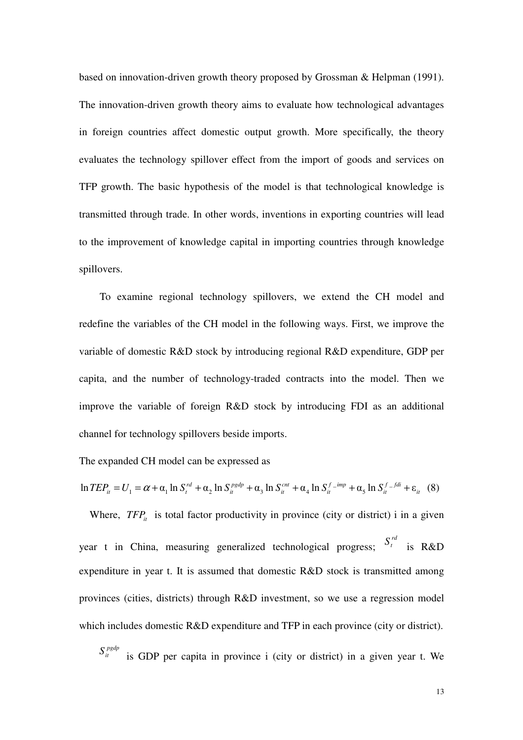based on innovation-driven growth theory proposed by Grossman & Helpman (1991). The innovation-driven growth theory aims to evaluate how technological advantages in foreign countries affect domestic output growth. More specifically, the theory evaluates the technology spillover effect from the import of goods and services on TFP growth. The basic hypothesis of the model is that technological knowledge is transmitted through trade. In other words, inventions in exporting countries will lead to the improvement of knowledge capital in importing countries through knowledge spillovers.

To examine regional technology spillovers, we extend the CH model and redefine the variables of the CH model in the following ways. First, we improve the variable of domestic R&D stock by introducing regional R&D expenditure, GDP per capita, and the number of technology-traded contracts into the model. Then we improve the variable of foreign R&D stock by introducing FDI as an additional channel for technology spillovers beside imports.

The expanded CH model can be expressed as

$$
\ln T E P_{it} = U_1 = \alpha + \alpha_1 \ln S_t^{rd} + \alpha_2 \ln S_{it}^{pgdp} + \alpha_3 \ln S_{it}^{cnt} + \alpha_4 \ln S_t^{f\_imp} + \alpha_5 \ln S_t^{f\_fdi} + \varepsilon_{it} \quad (8)
$$

Where,  $TFP<sub>i</sub>$  is total factor productivity in province (city or district) i in a given year t in China, measuring generalized technological progress;  $S_t^{\prime d}$  $S_t^{rd}$  is R&D expenditure in year t. It is assumed that domestic R&D stock is transmitted among provinces (cities, districts) through R&D investment, so we use a regression model which includes domestic R&D expenditure and TFP in each province (city or district).  $S_{it}^{pgdp}$ is GDP per capita in province i (city or district) in a given year t. We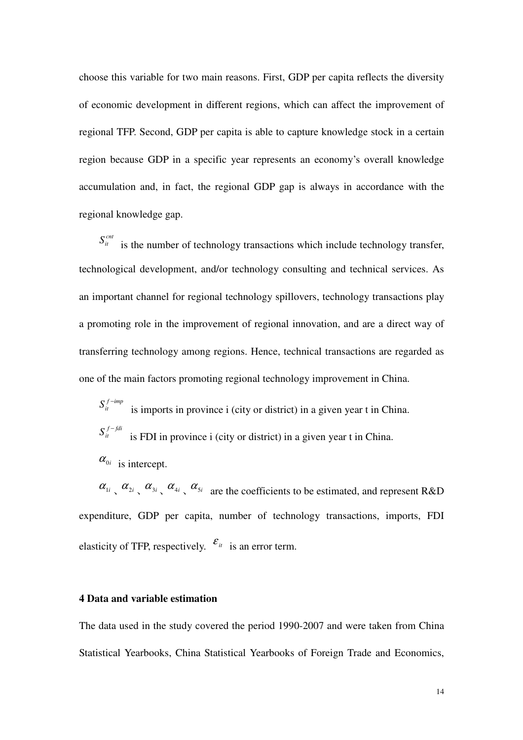choose this variable for two main reasons. First, GDP per capita reflects the diversity of economic development in different regions, which can affect the improvement of regional TFP. Second, GDP per capita is able to capture knowledge stock in a certain region because GDP in a specific year represents an economy's overall knowledge accumulation and, in fact, the regional GDP gap is always in accordance with the regional knowledge gap.

 $S_{i}^{cnt}$  is the number of technology transactions which include technology transfer, technological development, and/or technology consulting and technical services. As an important channel for regional technology spillovers, technology transactions play a promoting role in the improvement of regional innovation, and are a direct way of transferring technology among regions. Hence, technical transactions are regarded as one of the main factors promoting regional technology improvement in China.

 $S_i^{f-imp}$  is imports in province i (city or district) in a given year t in China.  $S_i^{f-fdi}$  is FDI in province i (city or district) in a given year t in China.  $\alpha_{0i}$  is intercept.

 $\alpha_{1i}$ ,  $\alpha_{2i}$ ,  $\alpha_{3i}$ ,  $\alpha_{4i}$ ,  $\alpha_{5i}$  are the coefficients to be estimated, and represent R&D expenditure, GDP per capita, number of technology transactions, imports, FDI elasticity of TFP, respectively.  $\epsilon_{it}$  is an error term.

## **4 Data and variable estimation**

The data used in the study covered the period 1990-2007 and were taken from China Statistical Yearbooks, China Statistical Yearbooks of Foreign Trade and Economics,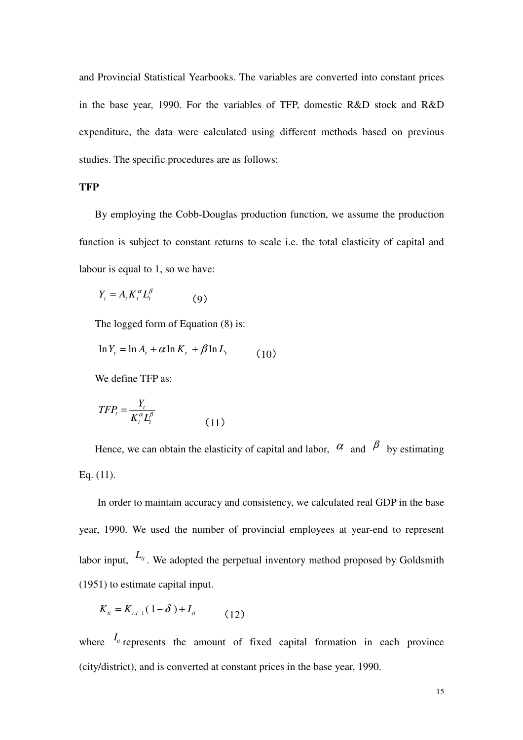and Provincial Statistical Yearbooks. The variables are converted into constant prices in the base year, 1990. For the variables of TFP, domestic R&D stock and R&D expenditure, the data were calculated using different methods based on previous studies. The specific procedures are as follows:

## **TFP**

By employing the Cobb-Douglas production function, we assume the production function is subject to constant returns to scale i.e. the total elasticity of capital and labour is equal to 1, so we have:

$$
Y_t = A_t K_t^{\alpha} L_t^{\beta} \tag{9}
$$

The logged form of Equation (8) is:

$$
\ln Y_t = \ln A_t + \alpha \ln K_t + \beta \ln L_t \tag{10}
$$

We define TFP as:

$$
TFP_t = \frac{Y_t}{K_t^{\alpha} L_t^{\beta}}
$$
\n(11)

Hence, we can obtain the elasticity of capital and labor,  $\alpha$  and  $\beta$  by estimating Eq. (11).

In order to maintain accuracy and consistency, we calculated real GDP in the base year, 1990. We used the number of provincial employees at year-end to represent labor input,  $L_i$ . We adopted the perpetual inventory method proposed by Goldsmith (1951) to estimate capital input.

$$
K_{ii} = K_{i,i-1}(1-\delta) + I_{ii}
$$
 (12)

where  $I_{it}$  represents the amount of fixed capital formation in each province (city/district), and is converted at constant prices in the base year, 1990.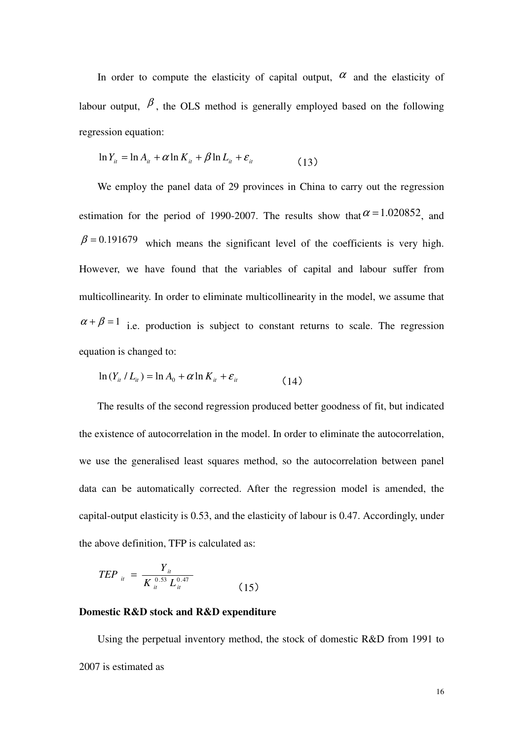In order to compute the elasticity of capital output,  $\alpha$  and the elasticity of labour output,  $\beta$ , the OLS method is generally employed based on the following regression equation:

$$
\ln Y_{it} = \ln A_{it} + \alpha \ln K_{it} + \beta \ln L_{it} + \varepsilon_{it}
$$
\n(13)

We employ the panel data of 29 provinces in China to carry out the regression estimation for the period of 1990-2007. The results show that  $\alpha = 1.020852$ , and  $\beta$  = 0.191679 which means the significant level of the coefficients is very high. However, we have found that the variables of capital and labour suffer from multicollinearity. In order to eliminate multicollinearity in the model, we assume that  $\alpha + \beta = 1$  i.e. production is subject to constant returns to scale. The regression equation is changed to:

$$
\ln(Y_{it} / L_{it}) = \ln A_0 + \alpha \ln K_{it} + \varepsilon_{it}
$$
\n(14)

The results of the second regression produced better goodness of fit, but indicated the existence of autocorrelation in the model. In order to eliminate the autocorrelation, we use the generalised least squares method, so the autocorrelation between panel data can be automatically corrected. After the regression model is amended, the capital-output elasticity is 0.53, and the elasticity of labour is 0.47. Accordingly, under the above definition, TFP is calculated as:

$$
TEP_{it} = \frac{Y_{it}}{K_{it}^{0.53} L_{it}^{0.47}}
$$
 (15)

#### **Domestic R&D stock and R&D expenditure**

Using the perpetual inventory method, the stock of domestic R&D from 1991 to 2007 is estimated as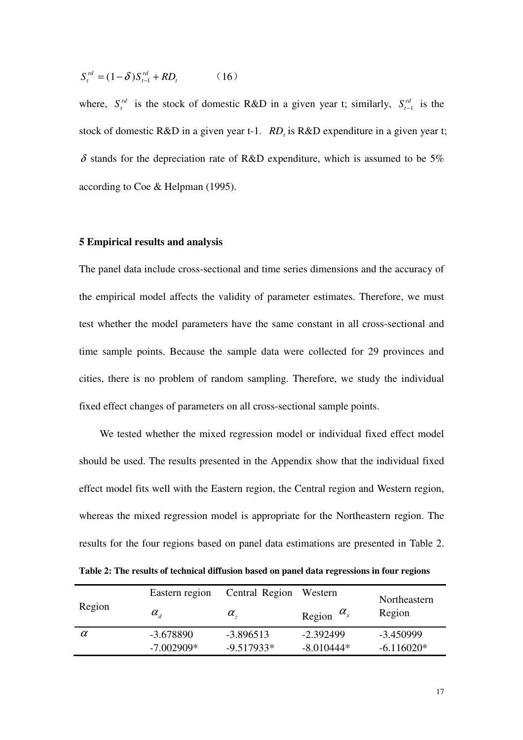$$
S_t^{rd} = (1 - \delta) S_{t-1}^{rd} + R D_t \tag{16}
$$

where,  $S_t^{rd}$  is the stock of domestic R&D in a given year t; similarly,  $S_{t-1}^{rd}$  is the stock of domestic R&D in a given year t-1. *RD<sub>t</sub>* is R&D expenditure in a given year t;  $\delta$  stands for the depreciation rate of R&D expenditure, which is assumed to be 5% according to Coe & Helpman (1995).

## **5 Empirical results and analysis**

The panel data include cross-sectional and time series dimensions and the accuracy of the empirical model affects the validity of parameter estimates. Therefore, we must test whether the model parameters have the same constant in all cross-sectional and time sample points. Because the sample data were collected for 29 provinces and cities, there is no problem of random sampling. Therefore, we study the individual fixed effect changes of parameters on all cross-sectional sample points.

We tested whether the mixed regression model or individual fixed effect model should be used. The results presented in the Appendix show that the individual fixed effect model fits well with the Eastern region, the Central region and Western region, whereas the mixed regression model is appropriate for the Northeastern region. The results for the four regions based on panel data estimations are presented in Table 2.

**Table 2: The results of technical diffusion based on panel data regressions in four regions** 

| Region   | Eastern region                   | Central Region | Western           | Northeastern |
|----------|----------------------------------|----------------|-------------------|--------------|
|          | $\alpha_{\scriptscriptstyle{d}}$ | $\alpha$ ,     | Region $\alpha_x$ | Region       |
| $\alpha$ | $-3.678890$                      | $-3.896513$    | $-2.392499$       | $-3.450999$  |
|          | $-7.002909*$                     | $-9.517933*$   | $-8.010444*$      | $-6.116020*$ |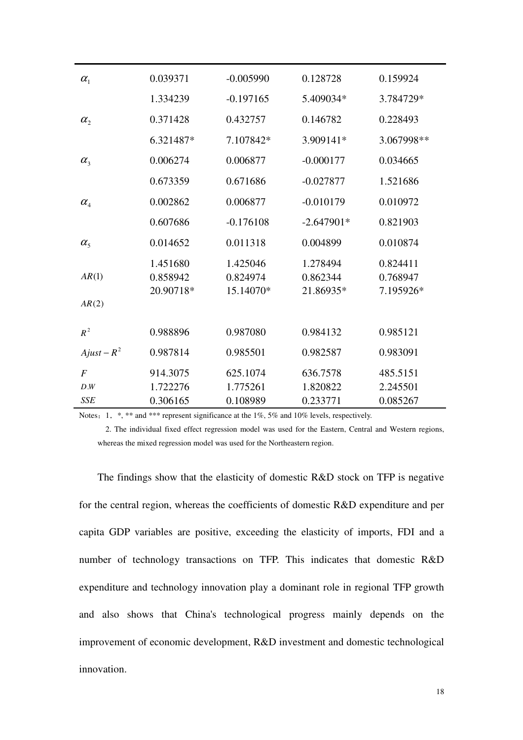| $\alpha_{1}$                    | 0.039371  | $-0.005990$ | 0.128728     | 0.159924   |
|---------------------------------|-----------|-------------|--------------|------------|
|                                 | 1.334239  | $-0.197165$ | 5.409034*    | 3.784729*  |
| $\alpha_{2}$                    | 0.371428  | 0.432757    | 0.146782     | 0.228493   |
|                                 | 6.321487* | 7.107842*   | 3.909141*    | 3.067998** |
| $\alpha_{3}$                    | 0.006274  | 0.006877    | $-0.000177$  | 0.034665   |
|                                 | 0.673359  | 0.671686    | $-0.027877$  | 1.521686   |
| $\alpha_{\scriptscriptstyle 4}$ | 0.002862  | 0.006877    | $-0.010179$  | 0.010972   |
|                                 | 0.607686  | $-0.176108$ | $-2.647901*$ | 0.821903   |
| $\alpha_{5}$                    | 0.014652  | 0.011318    | 0.004899     | 0.010874   |
|                                 | 1.451680  | 1.425046    | 1.278494     | 0.824411   |
| AR(1)                           | 0.858942  | 0.824974    | 0.862344     | 0.768947   |
|                                 | 20.90718* | 15.14070*   | 21.86935*    | 7.195926*  |
| AR(2)                           |           |             |              |            |
| $R^2$                           | 0.988896  | 0.987080    | 0.984132     | 0.985121   |
| $A just - R^2$                  | 0.987814  | 0.985501    | 0.982587     | 0.983091   |
| $\overline{F}$                  | 914.3075  | 625.1074    | 636.7578     | 485.5151   |
| D.W                             | 1.722276  | 1.775261    | 1.820822     | 2.245501   |
| <b>SSE</b>                      | 0.306165  | 0.108989    | 0.233771     | 0.085267   |

Notes: 1. \*, \*\* and \*\*\* represent significance at the 1%, 5% and 10% levels, respectively.

 2. The individual fixed effect regression model was used for the Eastern, Central and Western regions, whereas the mixed regression model was used for the Northeastern region.

The findings show that the elasticity of domestic R&D stock on TFP is negative for the central region, whereas the coefficients of domestic R&D expenditure and per capita GDP variables are positive, exceeding the elasticity of imports, FDI and a number of technology transactions on TFP. This indicates that domestic R&D expenditure and technology innovation play a dominant role in regional TFP growth and also shows that China's technological progress mainly depends on the improvement of economic development, R&D investment and domestic technological innovation.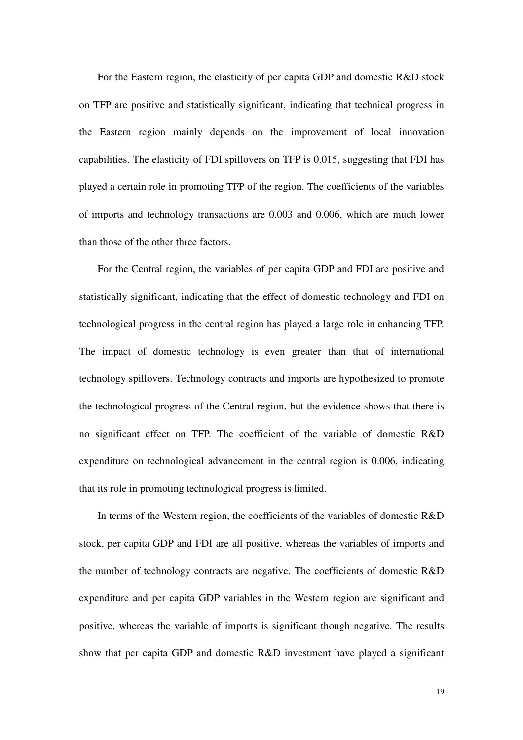For the Eastern region, the elasticity of per capita GDP and domestic R&D stock on TFP are positive and statistically significant, indicating that technical progress in the Eastern region mainly depends on the improvement of local innovation capabilities. The elasticity of FDI spillovers on TFP is 0.015, suggesting that FDI has played a certain role in promoting TFP of the region. The coefficients of the variables of imports and technology transactions are 0.003 and 0.006, which are much lower than those of the other three factors.

For the Central region, the variables of per capita GDP and FDI are positive and statistically significant, indicating that the effect of domestic technology and FDI on technological progress in the central region has played a large role in enhancing TFP. The impact of domestic technology is even greater than that of international technology spillovers. Technology contracts and imports are hypothesized to promote the technological progress of the Central region, but the evidence shows that there is no significant effect on TFP. The coefficient of the variable of domestic R&D expenditure on technological advancement in the central region is 0.006, indicating that its role in promoting technological progress is limited.

In terms of the Western region, the coefficients of the variables of domestic R&D stock, per capita GDP and FDI are all positive, whereas the variables of imports and the number of technology contracts are negative. The coefficients of domestic R&D expenditure and per capita GDP variables in the Western region are significant and positive, whereas the variable of imports is significant though negative. The results show that per capita GDP and domestic R&D investment have played a significant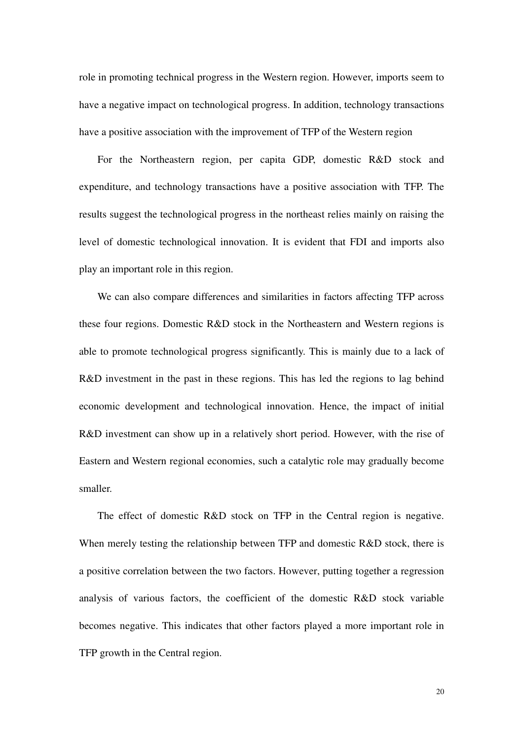role in promoting technical progress in the Western region. However, imports seem to have a negative impact on technological progress. In addition, technology transactions have a positive association with the improvement of TFP of the Western region

For the Northeastern region, per capita GDP, domestic R&D stock and expenditure, and technology transactions have a positive association with TFP. The results suggest the technological progress in the northeast relies mainly on raising the level of domestic technological innovation. It is evident that FDI and imports also play an important role in this region.

We can also compare differences and similarities in factors affecting TFP across these four regions. Domestic R&D stock in the Northeastern and Western regions is able to promote technological progress significantly. This is mainly due to a lack of R&D investment in the past in these regions. This has led the regions to lag behind economic development and technological innovation. Hence, the impact of initial R&D investment can show up in a relatively short period. However, with the rise of Eastern and Western regional economies, such a catalytic role may gradually become smaller.

The effect of domestic R&D stock on TFP in the Central region is negative. When merely testing the relationship between TFP and domestic R&D stock, there is a positive correlation between the two factors. However, putting together a regression analysis of various factors, the coefficient of the domestic R&D stock variable becomes negative. This indicates that other factors played a more important role in TFP growth in the Central region.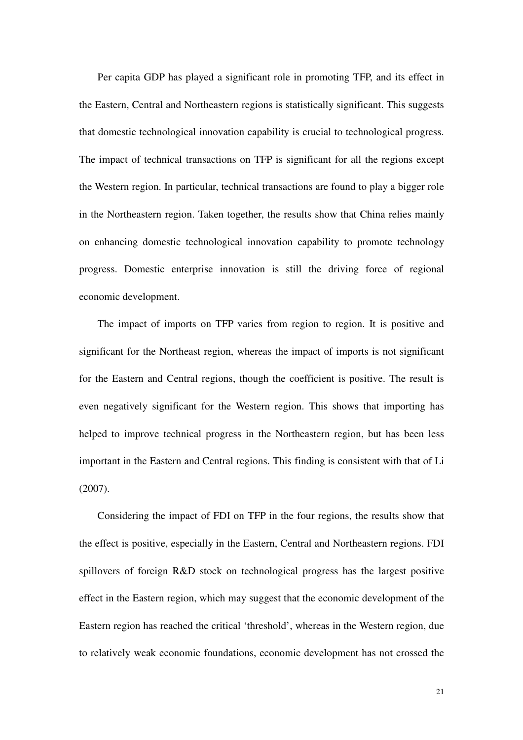Per capita GDP has played a significant role in promoting TFP, and its effect in the Eastern, Central and Northeastern regions is statistically significant. This suggests that domestic technological innovation capability is crucial to technological progress. The impact of technical transactions on TFP is significant for all the regions except the Western region. In particular, technical transactions are found to play a bigger role in the Northeastern region. Taken together, the results show that China relies mainly on enhancing domestic technological innovation capability to promote technology progress. Domestic enterprise innovation is still the driving force of regional economic development.

The impact of imports on TFP varies from region to region. It is positive and significant for the Northeast region, whereas the impact of imports is not significant for the Eastern and Central regions, though the coefficient is positive. The result is even negatively significant for the Western region. This shows that importing has helped to improve technical progress in the Northeastern region, but has been less important in the Eastern and Central regions. This finding is consistent with that of Li (2007).

Considering the impact of FDI on TFP in the four regions, the results show that the effect is positive, especially in the Eastern, Central and Northeastern regions. FDI spillovers of foreign R&D stock on technological progress has the largest positive effect in the Eastern region, which may suggest that the economic development of the Eastern region has reached the critical 'threshold', whereas in the Western region, due to relatively weak economic foundations, economic development has not crossed the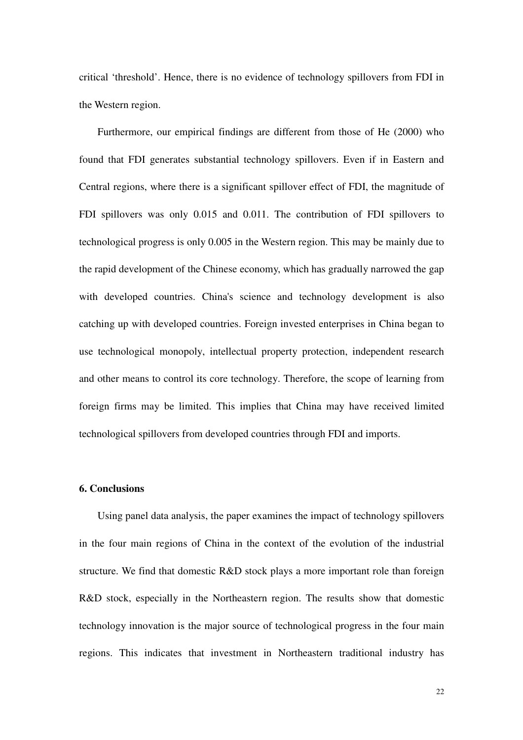critical 'threshold'. Hence, there is no evidence of technology spillovers from FDI in the Western region.

Furthermore, our empirical findings are different from those of He (2000) who found that FDI generates substantial technology spillovers. Even if in Eastern and Central regions, where there is a significant spillover effect of FDI, the magnitude of FDI spillovers was only 0.015 and 0.011. The contribution of FDI spillovers to technological progress is only 0.005 in the Western region. This may be mainly due to the rapid development of the Chinese economy, which has gradually narrowed the gap with developed countries. China's science and technology development is also catching up with developed countries. Foreign invested enterprises in China began to use technological monopoly, intellectual property protection, independent research and other means to control its core technology. Therefore, the scope of learning from foreign firms may be limited. This implies that China may have received limited technological spillovers from developed countries through FDI and imports.

## **6. Conclusions**

Using panel data analysis, the paper examines the impact of technology spillovers in the four main regions of China in the context of the evolution of the industrial structure. We find that domestic R&D stock plays a more important role than foreign R&D stock, especially in the Northeastern region. The results show that domestic technology innovation is the major source of technological progress in the four main regions. This indicates that investment in Northeastern traditional industry has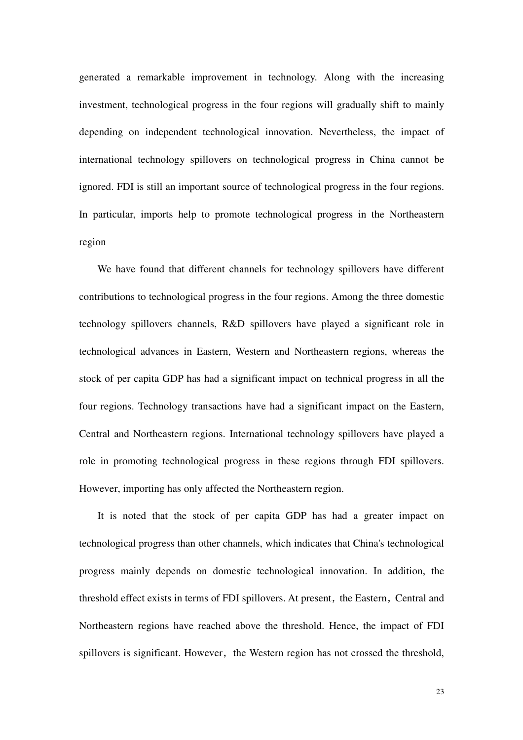generated a remarkable improvement in technology. Along with the increasing investment, technological progress in the four regions will gradually shift to mainly depending on independent technological innovation. Nevertheless, the impact of international technology spillovers on technological progress in China cannot be ignored. FDI is still an important source of technological progress in the four regions. In particular, imports help to promote technological progress in the Northeastern region

We have found that different channels for technology spillovers have different contributions to technological progress in the four regions. Among the three domestic technology spillovers channels, R&D spillovers have played a significant role in technological advances in Eastern, Western and Northeastern regions, whereas the stock of per capita GDP has had a significant impact on technical progress in all the four regions. Technology transactions have had a significant impact on the Eastern, Central and Northeastern regions. International technology spillovers have played a role in promoting technological progress in these regions through FDI spillovers. However, importing has only affected the Northeastern region.

It is noted that the stock of per capita GDP has had a greater impact on technological progress than other channels, which indicates that China's technological progress mainly depends on domestic technological innovation. In addition, the threshold effect exists in terms of FDI spillovers. At present, the Eastern, Central and Northeastern regions have reached above the threshold. Hence, the impact of FDI spillovers is significant. However, the Western region has not crossed the threshold,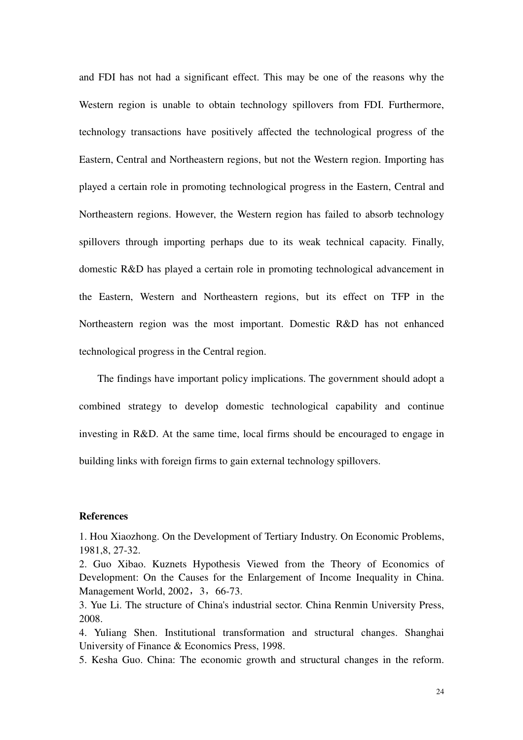and FDI has not had a significant effect. This may be one of the reasons why the Western region is unable to obtain technology spillovers from FDI. Furthermore, technology transactions have positively affected the technological progress of the Eastern, Central and Northeastern regions, but not the Western region. Importing has played a certain role in promoting technological progress in the Eastern, Central and Northeastern regions. However, the Western region has failed to absorb technology spillovers through importing perhaps due to its weak technical capacity. Finally, domestic R&D has played a certain role in promoting technological advancement in the Eastern, Western and Northeastern regions, but its effect on TFP in the Northeastern region was the most important. Domestic R&D has not enhanced technological progress in the Central region.

The findings have important policy implications. The government should adopt a combined strategy to develop domestic technological capability and continue investing in R&D. At the same time, local firms should be encouraged to engage in building links with foreign firms to gain external technology spillovers.

#### **References**

1. Hou Xiaozhong. On the Development of Tertiary Industry. On Economic Problems, 1981,8, 27-32.

2. Guo Xibao. Kuznets Hypothesis Viewed from the Theory of Economics of Development: On the Causes for the Enlargement of Income Inequality in China. Management World, 2002, 3, 66-73.

3. Yue Li. The structure of China's industrial sector. China Renmin University Press, 2008.

4. Yuliang Shen. Institutional transformation and structural changes. Shanghai University of Finance & Economics Press, 1998.

5. Kesha Guo. China: The economic growth and structural changes in the reform.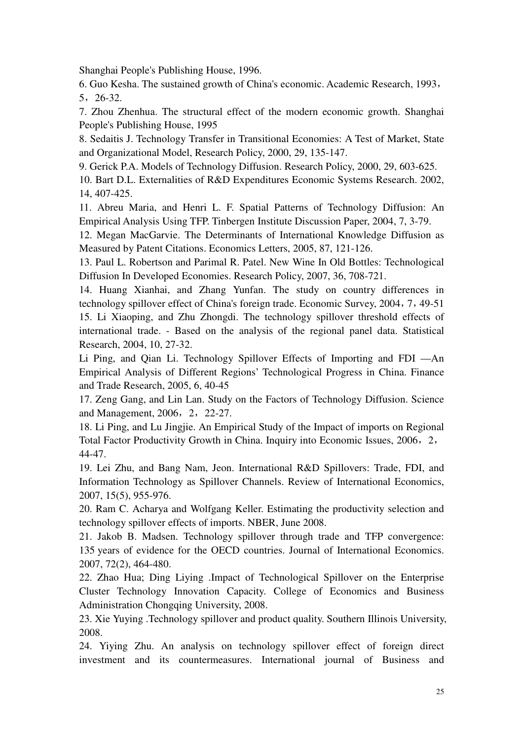Shanghai People's Publishing House, 1996.

6. Guo Kesha. The sustained growth of China's economic. Academic Research, 1993, 5,26-32.

7. Zhou Zhenhua. The structural effect of the modern economic growth. Shanghai People's Publishing House, 1995

8. Sedaitis J. Technology Transfer in Transitional Economies: A Test of Market, State and Organizational Model, Research Policy, 2000, 29, 135-147.

9. Gerick P.A. Models of Technology Diffusion. Research Policy, 2000, 29, 603-625.

10. Bart D.L. Externalities of R&D Expenditures Economic Systems Research. 2002, 14, 407-425.

11. Abreu Maria, and Henri L. F. Spatial Patterns of Technology Diffusion: An Empirical Analysis Using TFP. Tinbergen Institute Discussion Paper, 2004, 7, 3-79.

12. Megan MacGarvie. The Determinants of International Knowledge Diffusion as Measured by Patent Citations. Economics Letters, 2005, 87, 121-126.

13. Paul L. Robertson and Parimal R. Patel. New Wine In Old Bottles: Technological Diffusion In Developed Economies. Research Policy, 2007, 36, 708-721.

14. Huang Xianhai, and Zhang Yunfan. The study on country differences in technology spillover effect of China's foreign trade. Economic Survey, 2004,7,49-51 15. Li Xiaoping, and Zhu Zhongdi. The technology spillover threshold effects of international trade. - Based on the analysis of the regional panel data. Statistical Research, 2004, 10, 27-32.

Li Ping, and Qian Li. Technology Spillover Effects of Importing and FDI —An Empirical Analysis of Different Regions' Technological Progress in China. Finance and Trade Research, 2005, 6, 40-45

17. Zeng Gang, and Lin Lan. Study on the Factors of Technology Diffusion. Science and Management, 2006,2,22-27.

18. Li Ping, and Lu Jingjie. An Empirical Study of the Impact of imports on Regional Total Factor Productivity Growth in China. Inquiry into Economic Issues, 2006,2, 44-47.

19. Lei Zhu, and Bang Nam, Jeon. International R&D Spillovers: Trade, FDI, and Information Technology as Spillover Channels. Review of International Economics, 2007, 15(5), 955-976.

20. Ram C. Acharya and Wolfgang Keller. Estimating the productivity selection and technology spillover effects of imports. NBER, June 2008.

21. Jakob B. Madsen. Technology spillover through trade and TFP convergence: 135 years of evidence for the OECD countries. Journal of International Economics. 2007, 72(2), 464-480.

22. Zhao Hua; Ding Liying .Impact of Technological Spillover on the Enterprise Cluster Technology Innovation Capacity. College of Economics and Business Administration Chongqing University, 2008.

23. Xie Yuying .Technology spillover and product quality. Southern Illinois University, 2008.

24. Yiying Zhu. An analysis on technology spillover effect of foreign direct investment and its countermeasures. International journal of Business and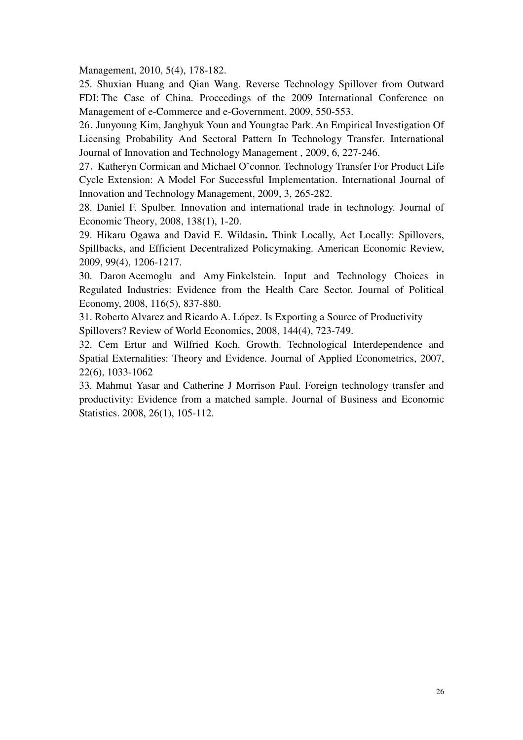Management, 2010, 5(4), 178-182.

25. Shuxian Huang and Qian Wang. Reverse Technology Spillover from Outward FDI: The Case of China. Proceedings of the 2009 International Conference on Management of e-Commerce and e-Government. 2009, 550-553.

26.Junyoung Kim, Janghyuk Youn and Youngtae Park. An Empirical Investigation Of Licensing Probability And Sectoral Pattern In Technology Transfer. International Journal of Innovation and Technology Management , 2009, 6, 227-246.

27.Katheryn Cormican and Michael O'connor. Technology Transfer For Product Life Cycle Extension: A Model For Successful Implementation. International Journal of Innovation and Technology Management, 2009, 3, 265-282.

28. Daniel F. Spulber. Innovation and international trade in technology. Journal of Economic Theory, 2008, 138(1), 1-20.

29. Hikaru Ogawa and David E. Wildasin**.** Think Locally, Act Locally: Spillovers, Spillbacks, and Efficient Decentralized Policymaking. American Economic Review, 2009, 99(4), 1206-1217.

30. Daron Acemoglu and Amy Finkelstein. Input and Technology Choices in Regulated Industries: Evidence from the Health Care Sector. Journal of Political Economy, 2008, 116(5), 837-880.

31. Roberto Alvarez and Ricardo A. López. Is Exporting a Source of Productivity Spillovers? Review of World Economics, 2008, 144(4), 723-749.

32. Cem Ertur and Wilfried Koch. Growth. Technological Interdependence and Spatial Externalities: Theory and Evidence. Journal of Applied Econometrics, 2007, 22(6), 1033-1062

33. Mahmut Yasar and Catherine J Morrison Paul. Foreign technology transfer and productivity: Evidence from a matched sample. Journal of Business and Economic Statistics. 2008, 26(1), 105-112.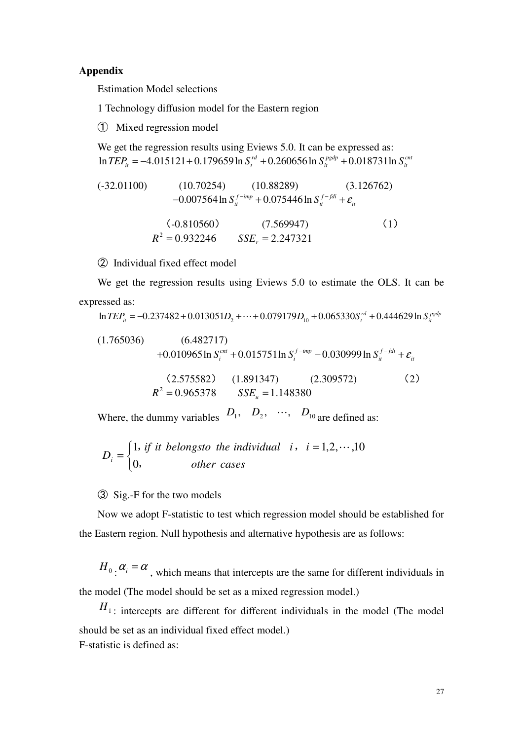## **Appendix**

Estimation Model selections

1 Technology diffusion model for the Eastern region

① Mixed regression model

We get the regression results using Eviews 5.0. It can be expressed as:  $\ln TEP_{it} = -4.015121 + 0.179659 \ln S_t^{rd} + 0.260656 \ln S_{it}^{psdp} + 0.018731 \ln S_{it}^{cnt}$ 

$$
\begin{array}{ll}\n\text{(-32.01100)} & (10.70254) & (10.88289) & (3.126762) \\
\hline\n& -0.007564 \ln S_{it}^{f - imp} + 0.075446 \ln S_{it}^{f - fdi} + \varepsilon_{it} \\
\text{(-0.810560)} & (7.569947) & (1) \\
& R^2 = 0.932246 & SSE_r = 2.247321\n\end{array}
$$

② Individual fixed effect model

We get the regression results using Eviews 5.0 to estimate the OLS. It can be expressed as:

$$
\ln TEP_{ii} = -0.237482 + 0.013051D_2 + \dots + 0.079179D_{10} + 0.065330S_i^{rd} + 0.444629 \ln S_i^{psdp}
$$
  
(1.765036) (6.482717)  
+0.010965 \ln S\_i^{cnt} + 0.015751 \ln S\_i^{f-imp} - 0.030999 \ln S\_i^{f-fdi} + \varepsilon\_i  
(2.575582) (1.891347) (2.309572) (2)  

$$
R^2 = 0.965378 \qquad SSE_u = 1.148380
$$

Where, the dummy variables  $D_1$ ,  $D_2$ ,  $\cdots$ ,  $D_{10}$  are defined as:

$$
D_i = \begin{cases} 1, & \text{if it belongs to the individual } i, i = 1, 2, \cdots, 10 \\ 0, & \text{other cases} \end{cases}
$$

③ Sig.-F for the two models

Now we adopt F-statistic to test which regression model should be established for the Eastern region. Null hypothesis and alternative hypothesis are as follows:

 $H_0$ :  $\alpha_i = \alpha$ , which means that intercepts are the same for different individuals in the model (The model should be set as a mixed regression model.)

 $H_1$ : intercepts are different for different individuals in the model (The model should be set as an individual fixed effect model.) F-statistic is defined as: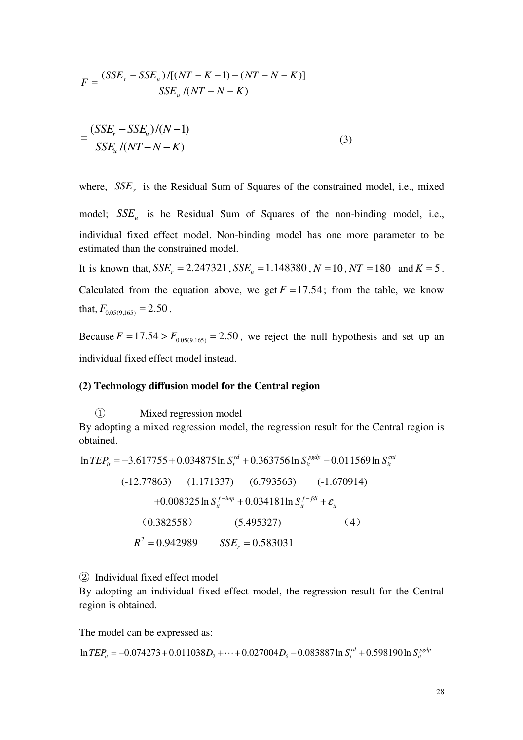$$
F = \frac{(SSE_r - SSE_u)/[(NT - K - 1) - (NT - N - K)]}{SSE_u/(NT - N - K)}
$$

$$
= \frac{(SSE_r - SSE_u)/(N - 1)}{SSE_u/(NT - N - K)}
$$
(3)

where,  $SSE<sub>r</sub>$  is the Residual Sum of Squares of the constrained model, i.e., mixed model;  $SSE_{u}$  is he Residual Sum of Squares of the non-binding model, i.e., individual fixed effect model. Non-binding model has one more parameter to be estimated than the constrained model.

It is known that,  $SSE_r = 2.247321$ ,  $SSE_u = 1.148380$ ,  $N = 10$ ,  $NT = 180$  and  $K = 5$ . Calculated from the equation above, we get  $F = 17.54$ ; from the table, we know that,  $F_{0.05(9,165)} = 2.50$ .

Because  $F = 17.54 > F_{0.05(9,165)} = 2.50$ , we reject the null hypothesis and set up an individual fixed effect model instead.

#### **(2) Technology diffusion model for the Central region**

① Mixed regression model

By adopting a mixed regression model, the regression result for the Central region is obtained.

 $ln TEP_i = -3.617755 + 0.034875ln S_i^{rd} + 0.363756ln S_i^{psdp} - 0.011569ln S_i^{cnt}$  (-12.77863) (1.171337) (6.793563) (-1.670914)  $+0.008325 \ln S_i^{f - imp} + 0.034181 \ln S_i^{f - fdi} + \varepsilon_i$  $(0.382558)$   $(5.495327)$   $(4)$  $R^2 = 0.942989$   $SSE_r = 0.583031$ 

② Individual fixed effect model

By adopting an individual fixed effect model, the regression result for the Central region is obtained.

The model can be expressed as:

 $\ln TEP_{ii} = -0.074273 + 0.011038D_2 + \cdots + 0.027004D_6 - 0.083887 \ln S_i^{rd} + 0.598190 \ln S_i^{pgdp}$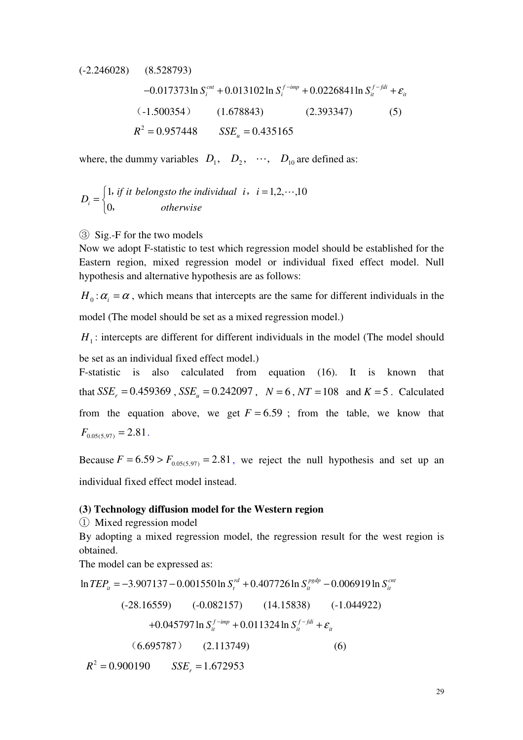(-2.246028) (8.528793)  $-0.017373\ln S_i^{cnt} + 0.013102\ln S_i^{f-imp} + 0.0226841\ln S_i^{f-fdi} + \mathcal{E}_{it}$  $(-1.500354)$   $(1.678843)$   $(2.393347)$  (5)  $R^2 = 0.957448$   $SSE_u = 0.435165$ 

where, the dummy variables  $D_1$ ,  $D_2$ ,  $\cdots$ ,  $D_{10}$  are defined as:

$$
D_i = \begin{cases} 1, & \text{if it belongs to the individual } i, \ i = 1, 2, \cdots, 10 \\ 0, & \text{otherwise} \end{cases}
$$

#### ③ Sig.-F for the two models

Now we adopt F-statistic to test which regression model should be established for the Eastern region, mixed regression model or individual fixed effect model. Null hypothesis and alternative hypothesis are as follows:

 $H_0: \alpha_i = \alpha$ , which means that intercepts are the same for different individuals in the model (The model should be set as a mixed regression model.)

 $H_1$ : intercepts are different for different individuals in the model (The model should

be set as an individual fixed effect model.)

F-statistic is also calculated from equation (16). It is known that that  $SSE_r = 0.459369$ ,  $SSE_u = 0.242097$ ,  $N = 6$ ,  $NT = 108$  and  $K = 5$ . Calculated from the equation above, we get  $F = 6.59$ ; from the table, we know that  $F_{0.05(5.97)} = 2.81$ .

Because  $F = 6.59 > F_{0.05(5,97)} = 2.81$ , we reject the null hypothesis and set up an individual fixed effect model instead.

#### **(3) Technology diffusion model for the Western region**

① Mixed regression model

By adopting a mixed regression model, the regression result for the west region is obtained.

The model can be expressed as:

$$
\ln TEP_{it} = -3.907137 - 0.001550 \ln S_{it}^{rd} + 0.407726 \ln S_{it}^{pgdp} - 0.006919 \ln S_{it}^{cnt}
$$
  
\n(-28.16559) (-0.082157) (14.15838) (-1.044922)  
\n+0.045797 \ln S\_{it}^{f-imp} + 0.011324 \ln S\_{it}^{f-fdi} + \varepsilon\_{it} (6.695787) (2.113749) (6)  
\n
$$
R^{2} = 0.900190 \quad SSE_{r} = 1.672953
$$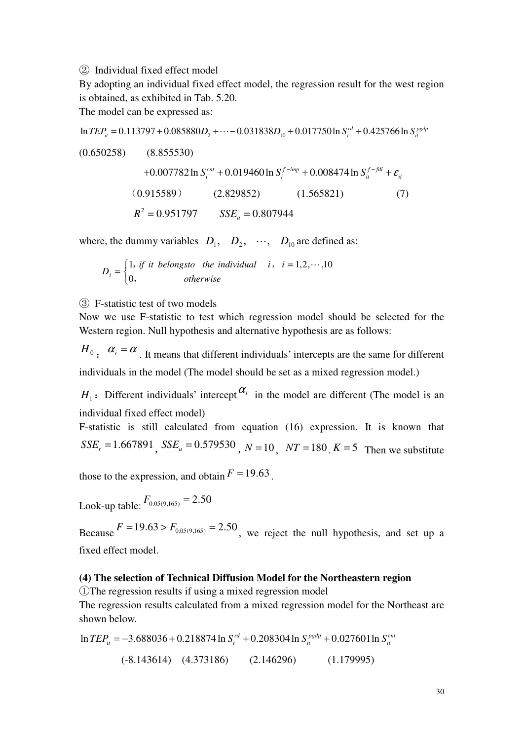② Individual fixed effect model

By adopting an individual fixed effect model, the regression result for the west region is obtained, as exhibited in Tab. 5.20.

The model can be expressed as:

 $\ln TEP_{it} = 0.113797 + 0.085880D_2 + \cdots - 0.031838D_{10} + 0.017750\ln S_t^{rd} + 0.425766\ln S_t^{pgdp}$ 

$$
(0.650258) \qquad (8.855530)
$$
  
+0.007782 ln  $S_i^{cnt}$  + 0.019460 ln  $S_i^{f-imp}$  + 0.008474 ln  $S_i^{f-fdi}$  +  $\varepsilon_{ii}$   
(0.915589) (2.829852) (1.565821) (7)  
 $R^2 = 0.951797$   $SSE_u = 0.807944$ 

where, the dummy variables  $D_1$ ,  $D_2$ ,  $\cdots$ ,  $D_{10}$  are defined as:

$$
D_i = \begin{cases} 1, & \text{if } it \text{ belongs to the individual } i, i = 1, 2, \cdots, 10 \\ 0, & \text{otherwise} \end{cases}
$$

③ F-statistic test of two models

Now we use F-statistic to test which regression model should be selected for the Western region. Null hypothesis and alternative hypothesis are as follows:

 $H_0$ :  $\alpha_i = \alpha$ . It means that different individuals' intercepts are the same for different individuals in the model (The model should be set as a mixed regression model.)

 $H_1$ : Different individuals' intercept  $\alpha_i$  in the model are different (The model is an individual fixed effect model)

F-statistic is still calculated from equation (16) expression. It is known that  $SSE_r = 1.667891$ ,  $SSE_u = 0.579530$ ,  $N = 10$ ,  $NT = 180$ .  $K = 5$  Then we substitute

those to the expression, and obtain  $F = 19.63$ .

Look-up table:  $F_{0.05(9,165)} = 2.50$ 

Because  $F = 19.63 > F_{0.05(9,165)} = 2.50$ , we reject the null hypothesis, and set up a fixed effect model.

#### **(4) The selection of Technical Diffusion Model for the Northeastern region**

①The regression results if using a mixed regression model

The regression results calculated from a mixed regression model for the Northeast are shown below.

 $\ln TEP_i = -3.688036 + 0.218874 \ln S_i^{rd} + 0.208304 \ln S_i^{psdp} + 0.027601 \ln S_i^{cnt}$ (-8.143614) (4.373186) (2.146296) (1.179995)